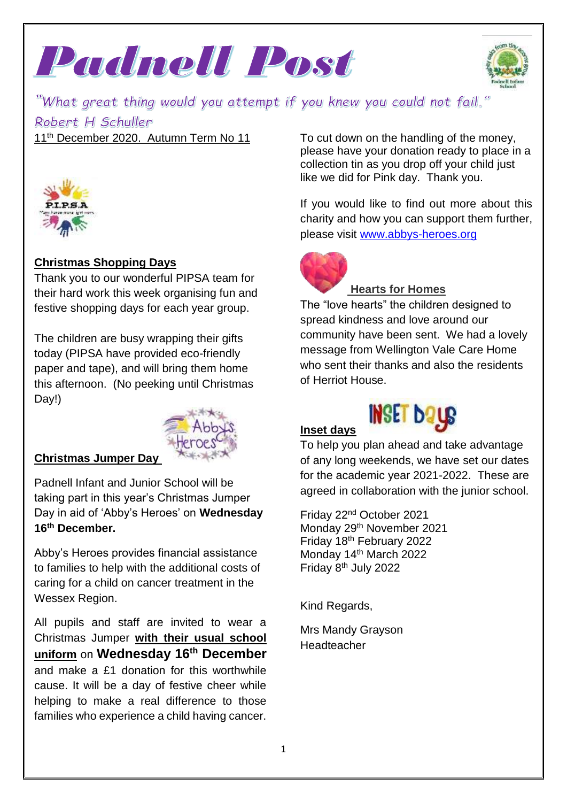



"What great thing would you attempt if you knew you could not fail." Robert H Schuller

11<sup>th</sup> December 2020. Autumn Term No 11



# **Christmas Shopping Days**

Thank you to our wonderful PIPSA team for their hard work this week organising fun and festive shopping days for each year group.

The children are busy wrapping their gifts today (PIPSA have provided eco-friendly paper and tape), and will bring them home this afternoon. (No peeking until Christmas Day!)



### **Christmas Jumper Day**

Padnell Infant and Junior School will be taking part in this year's Christmas Jumper Day in aid of 'Abby's Heroes' on **Wednesday 16th December.**

Abby's Heroes provides financial assistance to families to help with the additional costs of caring for a child on cancer treatment in the Wessex Region.

All pupils and staff are invited to wear a Christmas Jumper **with their usual school uniform** on **Wednesday 16th December** and make a £1 donation for this worthwhile cause. It will be a day of festive cheer while helping to make a real difference to those families who experience a child having cancer. To cut down on the handling of the money, please have your donation ready to place in a collection tin as you drop off your child just like we did for Pink day. Thank you.

If you would like to find out more about this charity and how you can support them further, please visit [www.abbys-heroes.org](http://www.abbys-heroes.org/)



### **Hearts for Homes**

The "love hearts" the children designed to spread kindness and love around our community have been sent. We had a lovely message from Wellington Vale Care Home who sent their thanks and also the residents of Herriot House.

# **Inset days**



To help you plan ahead and take advantage of any long weekends, we have set our dates for the academic year 2021-2022. These are agreed in collaboration with the junior school.

Friday 22nd October 2021 Monday 29th November 2021 Friday 18th February 2022 Monday 14<sup>th</sup> March 2022 Friday 8th July 2022

Kind Regards,

Mrs Mandy Grayson Headteacher